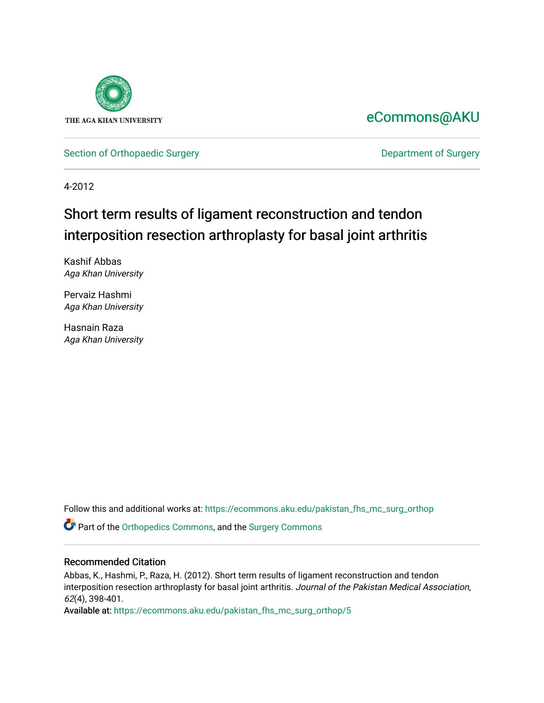

# [eCommons@AKU](https://ecommons.aku.edu/)

[Section of Orthopaedic Surgery](https://ecommons.aku.edu/pakistan_fhs_mc_surg_orthop) **Department of Surgery** Department of Surgery

4-2012

# Short term results of ligament reconstruction and tendon interposition resection arthroplasty for basal joint arthritis

Kashif Abbas Aga Khan University

Pervaiz Hashmi Aga Khan University

Hasnain Raza Aga Khan University

Follow this and additional works at: [https://ecommons.aku.edu/pakistan\\_fhs\\_mc\\_surg\\_orthop](https://ecommons.aku.edu/pakistan_fhs_mc_surg_orthop?utm_source=ecommons.aku.edu%2Fpakistan_fhs_mc_surg_orthop%2F5&utm_medium=PDF&utm_campaign=PDFCoverPages)

Part of the [Orthopedics Commons](http://network.bepress.com/hgg/discipline/696?utm_source=ecommons.aku.edu%2Fpakistan_fhs_mc_surg_orthop%2F5&utm_medium=PDF&utm_campaign=PDFCoverPages), and the [Surgery Commons](http://network.bepress.com/hgg/discipline/706?utm_source=ecommons.aku.edu%2Fpakistan_fhs_mc_surg_orthop%2F5&utm_medium=PDF&utm_campaign=PDFCoverPages) 

# Recommended Citation

Abbas, K., Hashmi, P., Raza, H. (2012). Short term results of ligament reconstruction and tendon interposition resection arthroplasty for basal joint arthritis. Journal of the Pakistan Medical Association, 62(4), 398-401.

Available at: [https://ecommons.aku.edu/pakistan\\_fhs\\_mc\\_surg\\_orthop/5](https://ecommons.aku.edu/pakistan_fhs_mc_surg_orthop/5)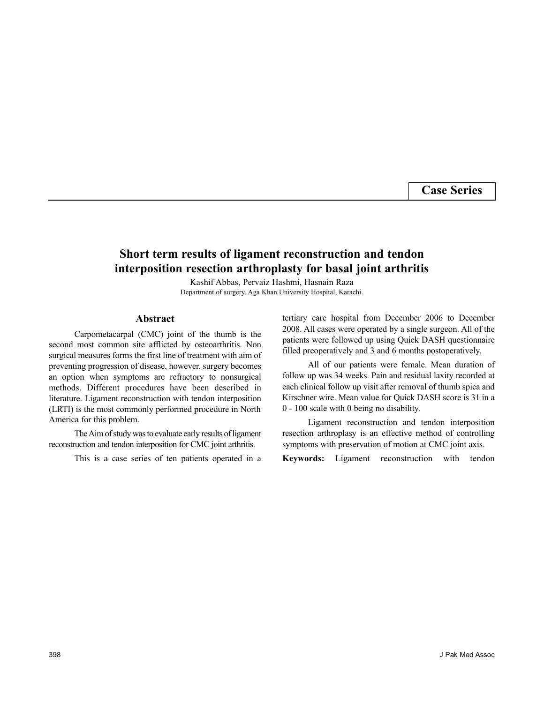**Case Series**

# **Short term results of ligament reconstruction and tendon interposition resection arthroplasty for basal joint arthritis**

Kashif Abbas, Pervaiz Hashmi, Hasnain Raza Department of surgery, Aga Khan University Hospital, Karachi.

#### **Abstract**

Carpometacarpal (CMC) joint of the thumb is the second most common site afflicted by osteoarthritis. Non surgical measures forms the first line of treatment with aim of preventing progression of disease, however, surgery becomes an option when symptoms are refractory to nonsurgical methods. Different procedures have been described in literature. Ligament reconstruction with tendon interposition (LRTI) is the most commonly performed procedure in North America for this problem.

The Aim of study was to evaluate early results of ligament reconstruction and tendon interposition for CMC joint arthritis.

This is a case series of ten patients operated in a

tertiary care hospital from December 2006 to December 2008. All cases were operated by a single surgeon. All of the patients were followed up using Quick DASH questionnaire filled preoperatively and 3 and 6 months postoperatively.

All of our patients were female. Mean duration of follow up was 34 weeks. Pain and residual laxity recorded at each clinical follow up visit after removal of thumb spica and Kirschner wire. Mean value for Quick DASH score is 31 in a 0 - 100 scale with 0 being no disability.

Ligament reconstruction and tendon interposition resection arthroplasy is an effective method of controlling symptoms with preservation of motion at CMC joint axis.

**Keywords:** Ligament reconstruction with tendon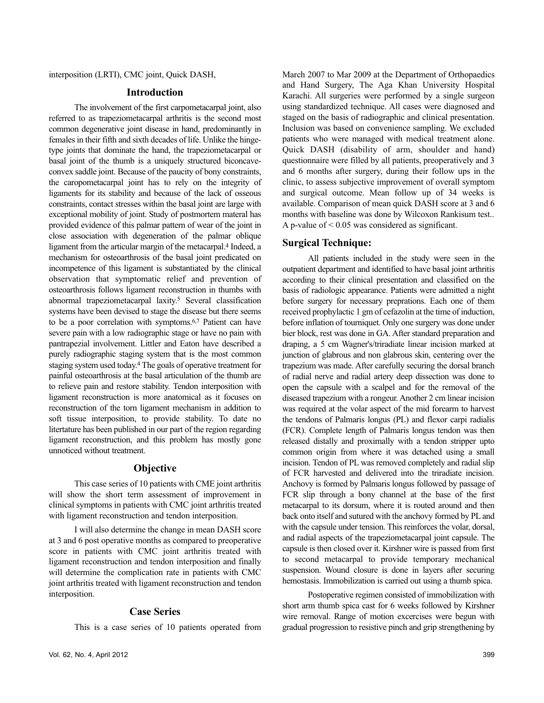interposition (LRTI), CMC joint, Quick DASH,

# **Introduction**

The involvement of the first carpometacarpal joint, also referred to as trapeziometacarpal arthritis is the second most common degenerative joint disease in hand, predominantly in females in their fifth and sixth decades of life. Unlike the hingetype joints that dominate the hand, the trapeziometacarpal or basal joint of the thumb is a uniquely structured biconcaveconvex saddle joint. Because of the paucity of bony constraints, the caropometacarpal joint has to rely on the integrity of ligaments for its stability and because of the lack of osseous constraints, contact stresses within the basal joint are large with exceptional mobility of joint. Study of postmortem materal has provided evidence of this palmar pattern of wear of the joint in close association with degeneration of the palmar oblique ligament from the articular margin of the metacarpal.<sup>4</sup> Indeed, a mechanism for osteoarthrosis of the basal joint predicated on incompetence of this ligament is substantiated by the clinical observation that symptomatic relief and prevention of osteoarthrosis follows ligament reconstruction in thumbs with abnormal trapeziometacarpal laxity.<sup>5</sup> Several classification systems have been devised to stage the disease but there seems to be a poor correlation with symptoms.6,7 Patient can have severe pain with a low radiographic stage or have no pain with pantrapezial involvement. Littler and Eaton have described a purely radiographic staging system that is the most common staging system used today.<sup>4</sup> The goals of operative treatment for painful osteoarthrosis at the basal articulation of the thumb are to relieve pain and restore stability. Tendon interposition with ligament reconstruction is more anatomical as it focuses on reconstruction of the torn ligament mechanism in addition to soft tissue interposition, to provide stability. To date no litertature has been published in our part of the region regarding ligament reconstruction, and this problem has mostly gone unnoticed without treatment.

## **Objective**

This case series of 10 patients with CME joint arthritis will show the short term assessment of improvement in clinical symptoms in patients with CMC joint arthritis treated with ligament reconstruction and tendon interposition.

I will also determine the change in mean DASH score at 3 and 6 post operative months as compared to preoperative score in patients with CMC joint arthritis treated with ligament reconstruction and tendon interposition and finally will determine the complication rate in patients with CMC joint arthritis treated with ligament reconstruction and tendon interposition.

#### **Case Series**

This is a case series of 10 patients operated from

March 2007 to Mar 2009 at the Department of Orthopaedics and Hand Surgery, The Aga Khan University Hospital Karachi. All surgeries were performed by a single surgeon using standardized technique. All cases were diagnosed and staged on the basis of radiographic and clinical presentation. Inclusion was based on convenience sampling. We excluded patients who were managed with medical treatment alone. Quick DASH (disability of arm, shoulder and hand) questionnaire were filled by all patients, preoperatively and 3 and 6 months after surgery, during their follow ups in the clinic, to assess subjective improvement of overall symptom and surgical outcome. Mean follow up of 34 weeks is available. Comparison of mean quick DASH score at 3 and 6 months with baseline was done by Wilcoxon Rankisum test.. A p-value of  $\leq 0.05$  was considered as significant.

### **Surgical Technique:**

All patients included in the study were seen in the outpatient department and identified to have basal joint arthritis according to their clinical presentation and classified on the basis of radiologic appearance. Patients were admitted a night before surgery for necessary preprations. Each one of them received prophylactic 1 gm of cefazolin at the time of induction, before inflation of tourniquet. Only one surgery was done under bier block, rest was done in GA. After standard preparation and draping, a 5 cm Wagner's/triradiate linear incision marked at junction of glabrous and non glabrous skin, centering over the trapezium was made. After carefully securing the dorsal branch of radial nerve and radial artery deep dissection was done to open the capsule with a scalpel and for the removal of the diseased trapezium with a rongeur. Another 2 cm linear incision was required at the volar aspect of the mid forearm to harvest the tendons of Palmaris longus (PL) and flexor carpi radialis (FCR). Complete length of Palmaris longus tendon was then released distally and proximally with a tendon stripper upto common origin from where it was detached using a small incision. Tendon of PL was removed completely and radial slip of FCR harvested and delivered into the triradiate incision. Anchovy is formed by Palmaris longus followed by passage of FCR slip through a bony channel at the base of the first metacarpal to its dorsum, where it is routed around and then back onto itself and sutured with the anchovy formed by PL and with the capsule under tension. This reinforces the volar, dorsal, and radial aspects of the trapeziometacarpal joint capsule. The capsule is then closed over it. Kirshner wire is passed from first to second metacarpal to provide temporary mechanical suspension. Wound closure is done in layers after securing hemostasis. Immobilization is carried out using a thumb spica.

Postoperative regimen consisted of immobilization with short arm thumb spica cast for 6 weeks followed by Kirshner wire removal. Range of motion excercises were begun with gradual progression to resistive pinch and grip strengthening by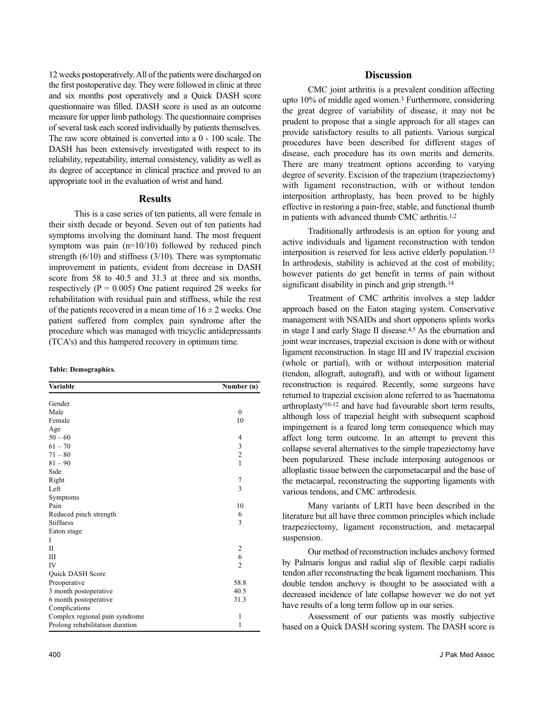12 weeks postoperatively. All of the patients were discharged on the first postoperative day. They were followed in clinic at three and six months post operatively and a Quick DASH score questionnaire was filled. DASH score is used as an outcome measure for upper limb pathology. The questionnaire comprises of several task each scored individually by patients themselves. The raw score obtained is converted into a 0 - 100 scale. The DASH has been extensively investigated with respect to its reliability, repeatability, internal consistency, validity as well as its degree of acceptance in clinical practice and proved to an appropriate tool in the evaluation of wrist and hand.

#### **Results**

This is a case series of ten patients, all were female in their sixth decade or beyond. Seven out of ten patients had symptoms involving the dominant hand. The most frequent symptom was pain (n=10/10) followed by reduced pinch strength (6/10) and stiffness (3/10). There was symptomatic improvement in patients, evident from decrease in DASH score from 58 to 40.5 and 31.3 at three and six months, respectively ( $P = 0.005$ ) One patient required 28 weeks for rehabilitation with residual pain and stiffness, while the rest of the patients recovered in a mean time of  $16 \pm 2$  weeks. One patient suffered from complex pain syndrome after the procedure which was managed with tricyclic antidepressants (TCA's) and this hampered recovery in optimum time.

**Table: Demographics.**

| Variable                        | Number (n)              |
|---------------------------------|-------------------------|
| Gender                          |                         |
| Male                            | $\mathbf{0}$            |
| Female                          | 10                      |
| Age                             |                         |
| $50 - 60$                       | 4                       |
| $61 - 70$                       | 3                       |
| $71 - 80$                       | $\overline{c}$          |
| $81 - 90$                       | $\mathbf{1}$            |
| Side                            |                         |
| Right                           | 7                       |
| Left                            | $\overline{3}$          |
| Symptoms                        |                         |
| Pain                            | 10                      |
| Reduced pinch strength          | 6                       |
| <b>Stiffness</b>                | 3                       |
| Eaton stage                     |                         |
| I                               |                         |
| $\mathbf{I}$                    | $\overline{\mathbf{c}}$ |
| Ш                               | 6                       |
| IV                              | $\overline{2}$          |
| Quick DASH Score                |                         |
| Preoperative                    | 58.8                    |
| 3 month postoperative           | 40.5                    |
| 6 month postoperative           | 31.3                    |
| Complications                   |                         |
| Complex regional pain syndrome  | $\mathbf{1}$            |
| Prolong rehabilitation duration | $\mathbf{1}$            |

#### **Discussion**

CMC joint arthritis is a prevalent condition affecting upto 10% of middle aged women.<sup>3</sup> Furthermore, considering the great degree of variability of disease, it may not be prudent to propose that a single approach for all stages can provide satisfactory results to all patients. Various surgical procedures have been described for different stages of disease, each procedure has its own merits and demerits. There are many treatment options according to varying degree of severity. Excision of the trapezium (trapeziectomy) with ligament reconstruction, with or without tendon interposition arthroplasty, has been proved to be highly effective in restoring a pain-free, stable, and functional thumb in patients with advanced thumb CMC arthritis.1,2

Traditionally arthrodesis is an option for young and active individuals and ligament reconstruction with tendon interposition is reserved for less active elderly population.<sup>13</sup> In arthrodesis, stability is achieved at the cost of mobility; however patients do get benefit in terms of pain without significant disability in pinch and grip strength.<sup>14</sup>

Treatment of CMC arthritis involves a step ladder approach based on the Eaton staging system. Conservative management with NSAIDs and short opponens splints works in stage I and early Stage II disease.4,5 As the eburnation and joint wear increases, trapezial excision is done with or without ligament reconstruction. In stage III and IV trapezial excision (whole or partial), with or without interposition material (tendon, allograft, autograft), and with or without ligament reconstruction is required. Recently, some surgeons have returned to trapezial excision alone referred to as 'haematoma arthroplasty'10-12 and have had favourable short term results, although loss of trapezial height with subsequent scaphoid impingement is a feared long term consequence which may affect long term outcome. In an attempt to prevent this collapse several alternatives to the simple trapeziectomy have been popularized. These include interposing autogenous or alloplastic tissue between the carpometacarpal and the base of the metacarpal, reconstructing the supporting ligaments with various tendons, and CMC arthrodesis.

Many variants of LRTI have been described in the literature but all have three common principles which include trazpeziectomy, ligament reconstruction, and metacarpal suspension.

Our method of reconstruction includes anchovy formed by Palmaris longus and radial slip of flexible carpi radialis tendon after reconstructing the beak ligament mechanism. This double tendon anchovy is thought to be associated with a decreased incidence of late collapse however we do not yet have results of a long term follow up in our series.

Assessment of our patients was mostly subjective based on a Quick DASH scoring system. The DASH score is